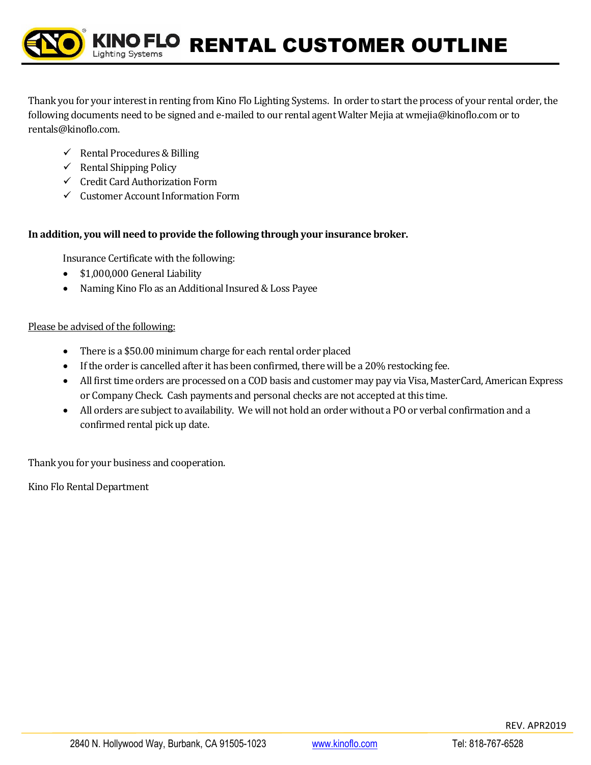Thank you for your interest in renting from Kino Flo Lighting Systems. In order to start the process of your rental order, the following documents need to be signed and e-mailed to our rental agent Walter Mejia a[t wmejia@kinoflo.com](mailto:wmejia@kinoflo.com) or to rentals@kinoflo.com.

- $\checkmark$  Rental Procedures & Billing
- $\checkmark$  Rental Shipping Policy
- ✓ Credit Card Authorization Form
- ✓ Customer Account Information Form

## **In addition, you will need to provide the following through your insurance broker.**

Insurance Certificate with the following:

- \$1,000,000 General Liability
- Naming Kino Flo as an Additional Insured & Loss Payee

## Please be advised of the following:

- There is a \$50.00 minimum charge for each rental order placed
- If the order is cancelled after it has been confirmed, there will be a 20% restocking fee.
- All first time orders are processed on a COD basis and customer may pay via Visa, MasterCard, American Express or Company Check. Cash payments and personal checks are not accepted at this time.
- All orders are subject to availability. We will not hold an order without a PO or verbal confirmation and a confirmed rental pick up date.

Thank you for your business and cooperation.

Kino Flo Rental Department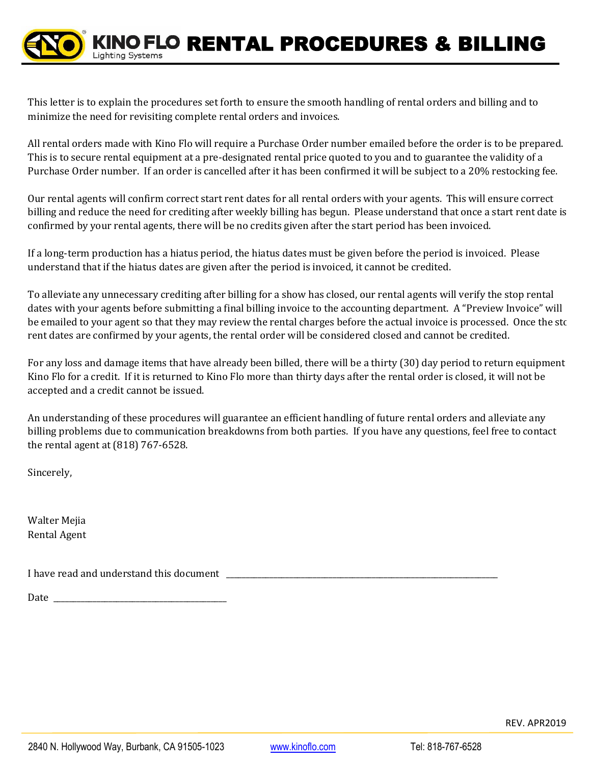This letter is to explain the procedures set forth to ensure the smooth handling of rental orders and billing and to minimize the need for revisiting complete rental orders and invoices.

All rental orders made with Kino Flo will require a Purchase Order number emailed before the order is to be prepared. This is to secure rental equipment at a pre-designated rental price quoted to you and to guarantee the validity of a Purchase Order number. If an order is cancelled after it has been confirmed it will be subject to a 20% restocking fee.

Our rental agents will confirm correct start rent dates for all rental orders with your agents. This will ensure correct billing and reduce the need for crediting after weekly billing has begun. Please understand that once a start rent date is confirmed by your rental agents, there will be no credits given after the start period has been invoiced.

If a long-term production has a hiatus period, the hiatus dates must be given before the period is invoiced. Please understand that if the hiatus dates are given after the period is invoiced, it cannot be credited.

To alleviate any unnecessary crediting after billing for a show has closed, our rental agents will verify the stop rental dates with your agents before submitting a final billing invoice to the accounting department. A "Preview Invoice" will be emailed to your agent so that they may review the rental charges before the actual invoice is processed. Once the sto rent dates are confirmed by your agents, the rental order will be considered closed and cannot be credited.

For any loss and damage items that have already been billed, there will be a thirty (30) day period to return equipment to Kino Flo for a credit. If it is returned to Kino Flo more than thirty days after the rental order is closed, it will not be accepted and a credit cannot be issued.

An understanding of these procedures will guarantee an efficient handling of future rental orders and alleviate any billing problems due to communication breakdowns from both parties. If you have any questions, feel free to contact the rental agent at (818) 767-6528.

Sincerely,

Walter Mejia Rental Agent

I have read and understand this document

Date \_\_\_\_\_\_\_\_\_\_\_\_\_\_\_\_\_\_\_\_\_\_\_\_\_\_\_\_\_\_\_\_\_\_\_\_\_\_\_\_\_\_\_\_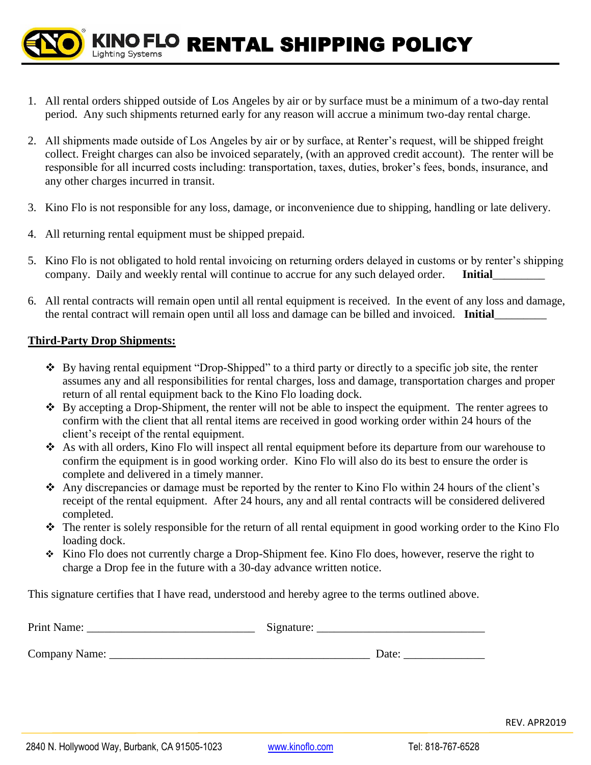KINO FLO RENTAL SHIPPING POLICY

- 1. All rental orders shipped outside of Los Angeles by air or by surface must be a minimum of a two-day rental period. Any such shipments returned early for any reason will accrue a minimum two-day rental charge.
- 2. All shipments made outside of Los Angeles by air or by surface, at Renter's request, will be shipped freight collect. Freight charges can also be invoiced separately, (with an approved credit account). The renter will be responsible for all incurred costs including: transportation, taxes, duties, broker's fees, bonds, insurance, and any other charges incurred in transit.
- 3. Kino Flo is not responsible for any loss, damage, or inconvenience due to shipping, handling or late delivery.
- 4. All returning rental equipment must be shipped prepaid.

**Lighting Systems** 

- 5. Kino Flo is not obligated to hold rental invoicing on returning orders delayed in customs or by renter's shipping company. Daily and weekly rental will continue to accrue for any such delayed order. **Initial**
- 6. All rental contracts will remain open until all rental equipment is received. In the event of any loss and damage, the rental contract will remain open until all loss and damage can be billed and invoiced. **Initial**\_\_\_\_\_\_\_\_\_

## **Third-Party Drop Shipments:**

- ❖ By having rental equipment "Drop-Shipped" to a third party or directly to a specific job site, the renter assumes any and all responsibilities for rental charges, loss and damage, transportation charges and proper return of all rental equipment back to the Kino Flo loading dock.
- ❖ By accepting a Drop-Shipment, the renter will not be able to inspect the equipment. The renter agrees to confirm with the client that all rental items are received in good working order within 24 hours of the client's receipt of the rental equipment.
- ❖ As with all orders, Kino Flo will inspect all rental equipment before its departure from our warehouse to confirm the equipment is in good working order. Kino Flo will also do its best to ensure the order is complete and delivered in a timely manner.
- ❖ Any discrepancies or damage must be reported by the renter to Kino Flo within 24 hours of the client's receipt of the rental equipment. After 24 hours, any and all rental contracts will be considered delivered completed.
- ❖ The renter is solely responsible for the return of all rental equipment in good working order to the Kino Flo loading dock.
- ❖ Kino Flo does not currently charge a Drop-Shipment fee. Kino Flo does, however, reserve the right to charge a Drop fee in the future with a 30-day advance written notice.

This signature certifies that I have read, understood and hereby agree to the terms outlined above.

| Print Name:   | Signature: |
|---------------|------------|
| Company Name: | Date:      |